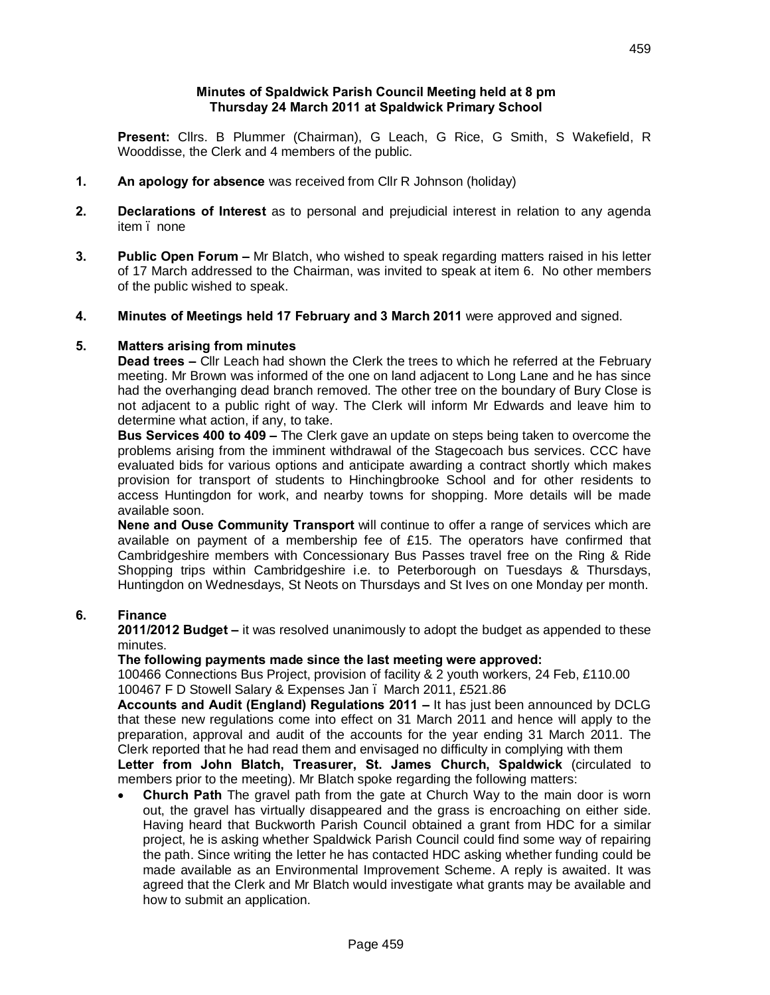#### **Minutes of Spaldwick Parish Council Meeting held at 8 pm Thursday 24 March 2011 at Spaldwick Primary School**

**Present:** Cllrs. B Plummer (Chairman), G Leach, G Rice, G Smith, S Wakefield, R Wooddisse, the Clerk and 4 members of the public.

- **1. An apology for absence** was received from Cllr R Johnson (holiday)
- **2. Declarations of Interest** as to personal and prejudicial interest in relation to any agenda item . none
- **3. Public Open Forum –** Mr Blatch, who wished to speak regarding matters raised in his letter of 17 March addressed to the Chairman, was invited to speak at item 6. No other members of the public wished to speak.
- **4. Minutes of Meetings held 17 February and 3 March 2011** were approved and signed.

#### **5. Matters arising from minutes**

**Dead trees –** Cllr Leach had shown the Clerk the trees to which he referred at the February meeting. Mr Brown was informed of the one on land adjacent to Long Lane and he has since had the overhanging dead branch removed. The other tree on the boundary of Bury Close is not adjacent to a public right of way. The Clerk will inform Mr Edwards and leave him to determine what action, if any, to take.

**Bus Services 400 to 409 –** The Clerk gave an update on steps being taken to overcome the problems arising from the imminent withdrawal of the Stagecoach bus services. CCC have evaluated bids for various options and anticipate awarding a contract shortly which makes provision for transport of students to Hinchingbrooke School and for other residents to access Huntingdon for work, and nearby towns for shopping. More details will be made available soon.

**Nene and Ouse Community Transport** will continue to offer a range of services which are available on payment of a membership fee of £15. The operators have confirmed that Cambridgeshire members with Concessionary Bus Passes travel free on the Ring & Ride Shopping trips within Cambridgeshire i.e. to Peterborough on Tuesdays & Thursdays, Huntingdon on Wednesdays, St Neots on Thursdays and St Ives on one Monday per month.

#### **6. Finance**

**2011/2012 Budget –** it was resolved unanimously to adopt the budget as appended to these minutes.

**The following payments made since the last meeting were approved:**

100466 Connections Bus Project, provision of facility & 2 youth workers, 24 Feb, £110.00 100467 F D Stowell Salary & Expenses Jan – March 2011, £521.86

**Accounts and Audit (England) Regulations 2011 –** It has just been announced by DCLG that these new regulations come into effect on 31 March 2011 and hence will apply to the preparation, approval and audit of the accounts for the year ending 31 March 2011. The Clerk reported that he had read them and envisaged no difficulty in complying with them **Letter from John Blatch, Treasurer, St. James Church, Spaldwick** (circulated to members prior to the meeting). Mr Blatch spoke regarding the following matters:

· **Church Path** The gravel path from the gate at Church Way to the main door is worn out, the gravel has virtually disappeared and the grass is encroaching on either side. Having heard that Buckworth Parish Council obtained a grant from HDC for a similar project, he is asking whether Spaldwick Parish Council could find some way of repairing the path. Since writing the letter he has contacted HDC asking whether funding could be made available as an Environmental Improvement Scheme. A reply is awaited. It was agreed that the Clerk and Mr Blatch would investigate what grants may be available and how to submit an application.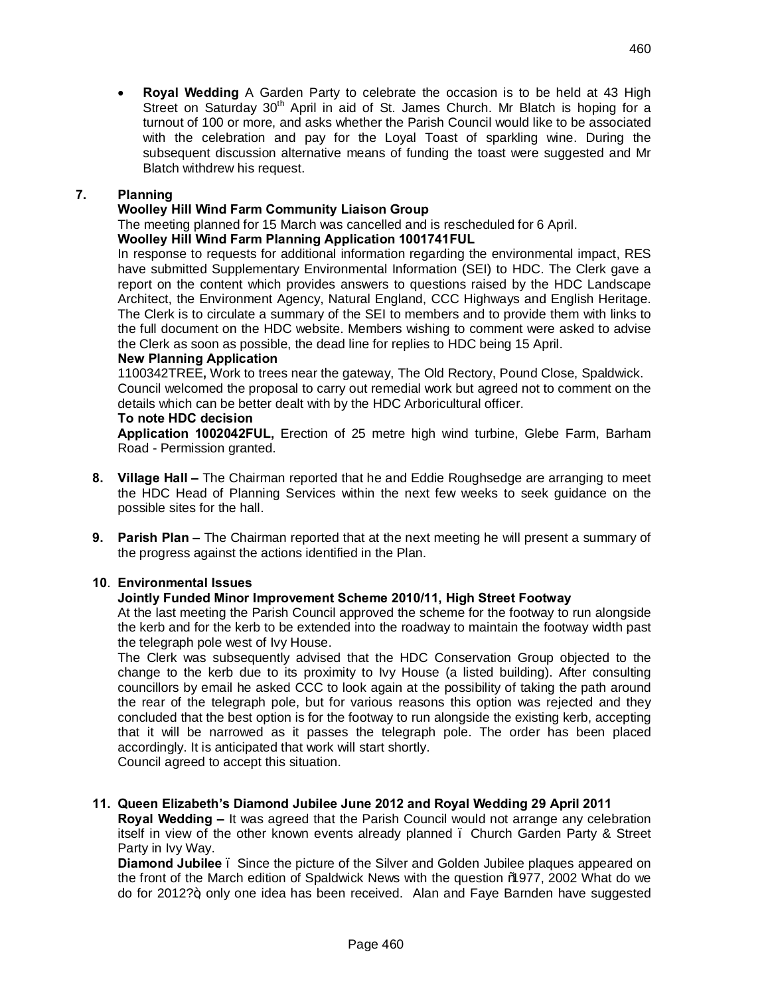· **Royal Wedding** A Garden Party to celebrate the occasion is to be held at 43 High Street on Saturday 30<sup>th</sup> April in aid of St. James Church. Mr Blatch is hoping for a turnout of 100 or more, and asks whether the Parish Council would like to be associated with the celebration and pay for the Loyal Toast of sparkling wine. During the subsequent discussion alternative means of funding the toast were suggested and Mr Blatch withdrew his request.

# **7. Planning**

## **Woolley Hill Wind Farm Community Liaison Group**

The meeting planned for 15 March was cancelled and is rescheduled for 6 April.

## **Woolley Hill Wind Farm Planning Application 1001741FUL**

In response to requests for additional information regarding the environmental impact, RES have submitted Supplementary Environmental Information (SEI) to HDC. The Clerk gave a report on the content which provides answers to questions raised by the HDC Landscape Architect, the Environment Agency, Natural England, CCC Highways and English Heritage. The Clerk is to circulate a summary of the SEI to members and to provide them with links to the full document on the HDC website. Members wishing to comment were asked to advise the Clerk as soon as possible, the dead line for replies to HDC being 15 April.

#### **New Planning Application**

1100342TREE**,** Work to trees near the gateway, The Old Rectory, Pound Close, Spaldwick. Council welcomed the proposal to carry out remedial work but agreed not to comment on the details which can be better dealt with by the HDC Arboricultural officer.

#### **To note HDC decision**

**Application 1002042FUL,** Erection of 25 metre high wind turbine, Glebe Farm, Barham Road - Permission granted.

- **8. Village Hall –** The Chairman reported that he and Eddie Roughsedge are arranging to meet the HDC Head of Planning Services within the next few weeks to seek guidance on the possible sites for the hall.
- **9. Parish Plan –** The Chairman reported that at the next meeting he will present a summary of the progress against the actions identified in the Plan.

#### **10**. **Environmental Issues**

#### **Jointly Funded Minor Improvement Scheme 2010/11, High Street Footway**

At the last meeting the Parish Council approved the scheme for the footway to run alongside the kerb and for the kerb to be extended into the roadway to maintain the footway width past the telegraph pole west of Ivy House.

The Clerk was subsequently advised that the HDC Conservation Group objected to the change to the kerb due to its proximity to Ivy House (a listed building). After consulting councillors by email he asked CCC to look again at the possibility of taking the path around the rear of the telegraph pole, but for various reasons this option was rejected and they concluded that the best option is for the footway to run alongside the existing kerb, accepting that it will be narrowed as it passes the telegraph pole. The order has been placed accordingly. It is anticipated that work will start shortly.

Council agreed to accept this situation.

# **11. Queen Elizabeth's Diamond Jubilee June 2012 and Royal Wedding 29 April 2011**

**Royal Wedding –** It was agreed that the Parish Council would not arrange any celebration itself in view of the other known events already planned – Church Garden Party & Street Party in Ivy Way.

**Diamond Jubilee** – Since the picture of the Silver and Golden Jubilee plaques appeared on the front of the March edition of Spaldwick News with the question %977, 2002 What do we do for 2012?", only one idea has been received. Alan and Faye Barnden have suggested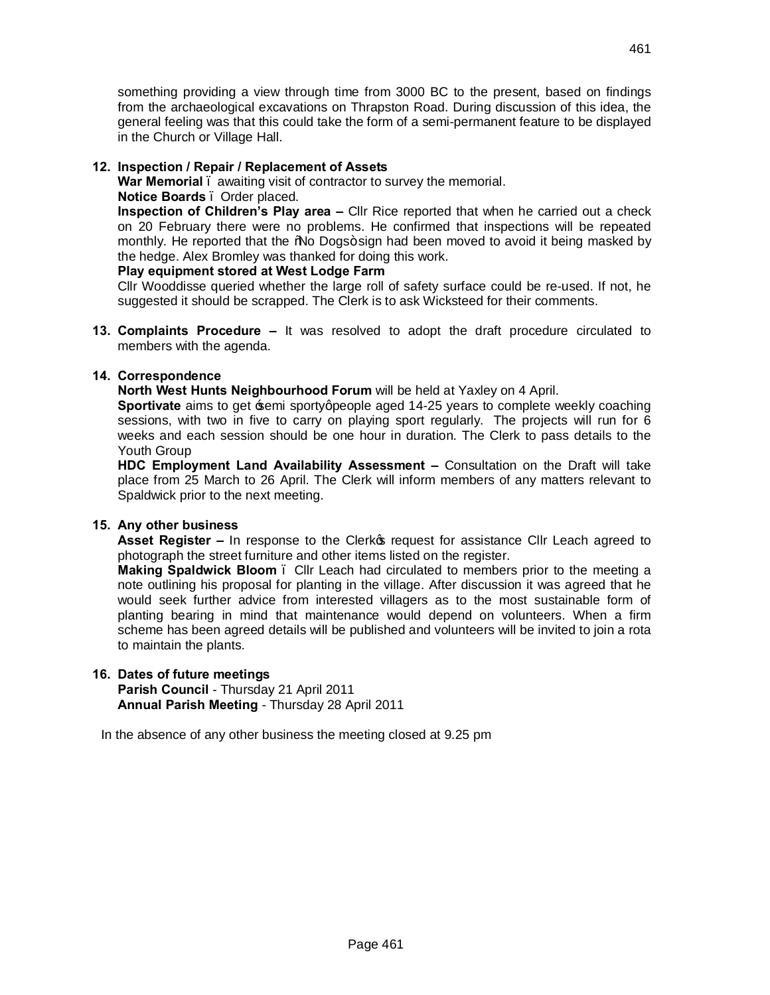something providing a view through time from 3000 BC to the present, based on findings from the archaeological excavations on Thrapston Road. During discussion of this idea, the general feeling was that this could take the form of a semi-permanent feature to be displayed in the Church or Village Hall.

#### **12. Inspection / Repair / Replacement of Assets**

**War Memorial** – awaiting visit of contractor to survey the memorial.

#### **Notice Boards** – Order placed.

**Inspection of Children's Play area –** Cllr Rice reported that when he carried out a check on 20 February there were no problems. He confirmed that inspections will be repeated monthly. He reported that the % Dogs+sign had been moved to avoid it being masked by the hedge. Alex Bromley was thanked for doing this work.

## **Play equipment stored at West Lodge Farm**

Cllr Wooddisse queried whether the large roll of safety surface could be re-used. If not, he suggested it should be scrapped. The Clerk is to ask Wicksteed for their comments.

**13. Complaints Procedure –** It was resolved to adopt the draft procedure circulated to members with the agenda.

# **14. Correspondence**

**North West Hunts Neighbourhood Forum** will be held at Yaxley on 4 April.

**Sportivate** aims to get semi sporty people aged 14-25 years to complete weekly coaching sessions, with two in five to carry on playing sport regularly. The projects will run for 6 weeks and each session should be one hour in duration. The Clerk to pass details to the Youth Group

**HDC Employment Land Availability Assessment –** Consultation on the Draft will take place from 25 March to 26 April. The Clerk will inform members of any matters relevant to Spaldwick prior to the next meeting.

#### **15. Any other business**

**Asset Register –** In response to the Clerkos request for assistance Cllr Leach agreed to photograph the street furniture and other items listed on the register.

**Making Spaldwick Bloom** – Cllr Leach had circulated to members prior to the meeting a note outlining his proposal for planting in the village. After discussion it was agreed that he would seek further advice from interested villagers as to the most sustainable form of planting bearing in mind that maintenance would depend on volunteers. When a firm scheme has been agreed details will be published and volunteers will be invited to join a rota to maintain the plants.

#### **16. Dates of future meetings**

**Parish Council** - Thursday 21 April 2011 **Annual Parish Meeting** - Thursday 28 April 2011

In the absence of any other business the meeting closed at 9.25 pm